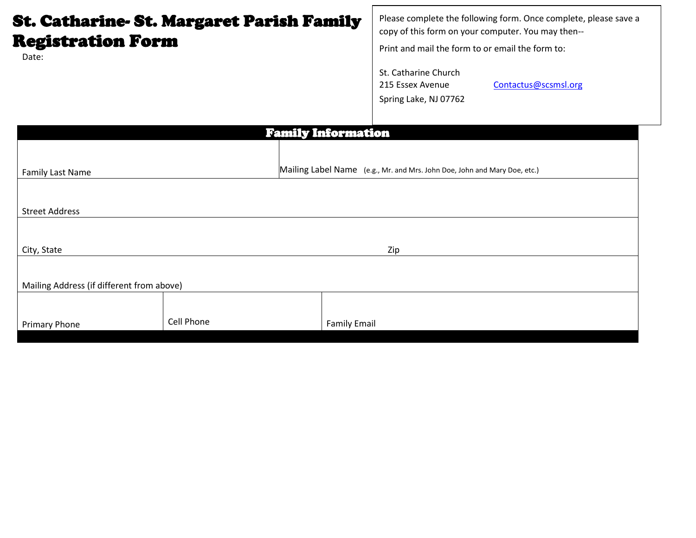## St. Catharine- St. Margaret Parish Family Registration Form

Date:

Please complete the following form. Once complete, please save a copy of this form on your computer. You may then--

Print and mail the form to or email the form to:

St. Catharine Church 215 Essex Avenue Contactus@scsmsl.org Spring Lake, NJ 07762

| <b>Family Information</b>                 |            |                                                                           |  |  |  |  |  |  |  |
|-------------------------------------------|------------|---------------------------------------------------------------------------|--|--|--|--|--|--|--|
|                                           |            |                                                                           |  |  |  |  |  |  |  |
|                                           |            |                                                                           |  |  |  |  |  |  |  |
| <b>Family Last Name</b>                   |            | Mailing Label Name (e.g., Mr. and Mrs. John Doe, John and Mary Doe, etc.) |  |  |  |  |  |  |  |
|                                           |            |                                                                           |  |  |  |  |  |  |  |
|                                           |            |                                                                           |  |  |  |  |  |  |  |
| <b>Street Address</b>                     |            |                                                                           |  |  |  |  |  |  |  |
|                                           |            |                                                                           |  |  |  |  |  |  |  |
|                                           |            |                                                                           |  |  |  |  |  |  |  |
| City, State                               |            | Zip                                                                       |  |  |  |  |  |  |  |
|                                           |            |                                                                           |  |  |  |  |  |  |  |
|                                           |            |                                                                           |  |  |  |  |  |  |  |
| Mailing Address (if different from above) |            |                                                                           |  |  |  |  |  |  |  |
|                                           |            |                                                                           |  |  |  |  |  |  |  |
|                                           |            |                                                                           |  |  |  |  |  |  |  |
| Primary Phone                             | Cell Phone | <b>Family Email</b>                                                       |  |  |  |  |  |  |  |
|                                           |            |                                                                           |  |  |  |  |  |  |  |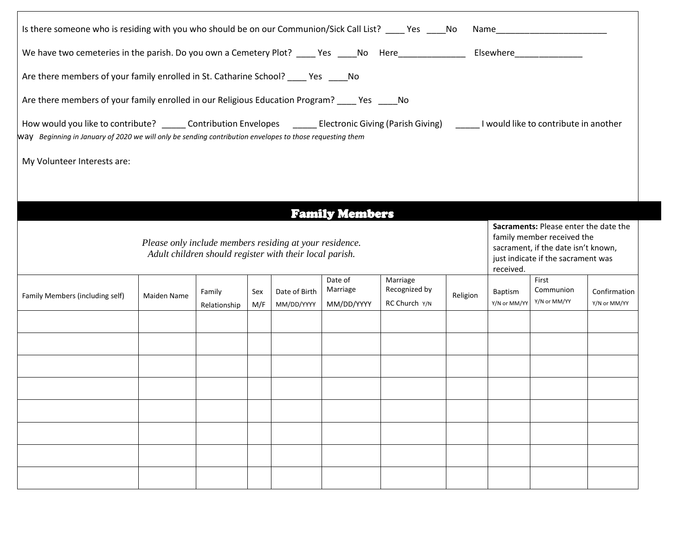| Is there someone who is residing with you who should be on our Communion/Sick Call List? ____ Yes ____No Name__________________________                                                                                                                            |             |              |            |                             |                                   |                                            |          |                                                                                                                                                               |                                    |                              |
|--------------------------------------------------------------------------------------------------------------------------------------------------------------------------------------------------------------------------------------------------------------------|-------------|--------------|------------|-----------------------------|-----------------------------------|--------------------------------------------|----------|---------------------------------------------------------------------------------------------------------------------------------------------------------------|------------------------------------|------------------------------|
| We have two cemeteries in the parish. Do you own a Cemetery Plot? ____ Yes ____No Here_____________                                                                                                                                                                |             |              |            |                             |                                   |                                            |          |                                                                                                                                                               |                                    |                              |
| Are there members of your family enrolled in St. Catharine School? _____ Yes _____ No                                                                                                                                                                              |             |              |            |                             |                                   |                                            |          |                                                                                                                                                               |                                    |                              |
| Are there members of your family enrolled in our Religious Education Program? ____ Yes _____ No                                                                                                                                                                    |             |              |            |                             |                                   |                                            |          |                                                                                                                                                               |                                    |                              |
| How would you like to contribute? ______ Contribution Envelopes _______ Electronic Giving (Parish Giving) ______ I would like to contribute in another<br>way Beginning in January of 2020 we will only be sending contribution envelopes to those requesting them |             |              |            |                             |                                   |                                            |          |                                                                                                                                                               |                                    |                              |
| My Volunteer Interests are:                                                                                                                                                                                                                                        |             |              |            |                             |                                   |                                            |          |                                                                                                                                                               |                                    |                              |
|                                                                                                                                                                                                                                                                    |             |              |            |                             |                                   |                                            |          |                                                                                                                                                               |                                    |                              |
|                                                                                                                                                                                                                                                                    |             |              |            |                             | <b>Family Members</b>             |                                            |          |                                                                                                                                                               |                                    |                              |
| Please only include members residing at your residence.<br>Adult children should register with their local parish.                                                                                                                                                 |             |              |            |                             |                                   |                                            |          | Sacraments: Please enter the date the<br>family member received the<br>sacrament, if the date isn't known,<br>just indicate if the sacrament was<br>received. |                                    |                              |
| Family Members (including self)                                                                                                                                                                                                                                    | Maiden Name | Family       | Sex<br>M/F | Date of Birth<br>MM/DD/YYYY | Date of<br>Marriage<br>MM/DD/YYYY | Marriage<br>Recognized by<br>RC Church Y/N | Religion | Baptism<br>Y/N or MM/YY                                                                                                                                       | First<br>Communion<br>Y/N or MM/YY | Confirmation<br>Y/N or MM/YY |
|                                                                                                                                                                                                                                                                    |             | Relationship |            |                             |                                   |                                            |          |                                                                                                                                                               |                                    |                              |
|                                                                                                                                                                                                                                                                    |             |              |            |                             |                                   |                                            |          |                                                                                                                                                               |                                    |                              |
|                                                                                                                                                                                                                                                                    |             |              |            |                             |                                   |                                            |          |                                                                                                                                                               |                                    |                              |
|                                                                                                                                                                                                                                                                    |             |              |            |                             |                                   |                                            |          |                                                                                                                                                               |                                    |                              |
|                                                                                                                                                                                                                                                                    |             |              |            |                             |                                   |                                            |          |                                                                                                                                                               |                                    |                              |
|                                                                                                                                                                                                                                                                    |             |              |            |                             |                                   |                                            |          |                                                                                                                                                               |                                    |                              |
|                                                                                                                                                                                                                                                                    |             |              |            |                             |                                   |                                            |          |                                                                                                                                                               |                                    |                              |
|                                                                                                                                                                                                                                                                    |             |              |            |                             |                                   |                                            |          |                                                                                                                                                               |                                    |                              |
|                                                                                                                                                                                                                                                                    |             |              |            |                             |                                   |                                            |          |                                                                                                                                                               |                                    |                              |